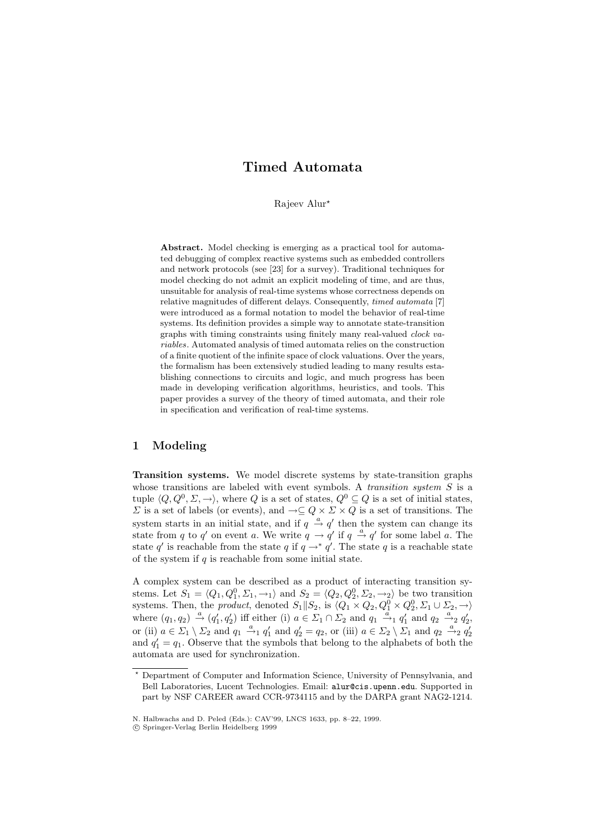# **Timed Automata**

Rajeev Alur?

**Abstract.** Model checking is emerging as a practical tool for automated debugging of complex reactive systems such as embedded controllers and network protocols (see [23] for a survey). Traditional techniques for model checking do not admit an explicit modeling of time, and are thus, unsuitable for analysis of real-time systems whose correctness depends on relative magnitudes of different delays. Consequently, timed automata [7] were introduced as a formal notation to model the behavior of real-time systems. Its definition provides a simple way to annotate state-transition graphs with timing constraints using finitely many real-valued clock variables. Automated analysis of timed automata relies on the construction of a finite quotient of the infinite space of clock valuations. Over the years, the formalism has been extensively studied leading to many results establishing connections to circuits and logic, and much progress has been made in developing verification algorithms, heuristics, and tools. This paper provides a survey of the theory of timed automata, and their role in specification and verification of real-time systems.

#### **1 Modeling**

**Transition systems.** We model discrete systems by state-transition graphs whose transitions are labeled with event symbols. A *transition system S* is a tuple  $\langle Q, Q^0, \Sigma, \rightarrow \rangle$ , where Q is a set of states,  $Q^0 \subseteq Q$  is a set of initial states,  $\Sigma$  is a set of labels (or events), and  $\neg \subseteq Q \times \Sigma \times Q$  is a set of transitions. The system starts in an initial state, and if  $q \stackrel{a}{\rightarrow} q'$  then the system can change its state from q to q' on event a. We write  $q \rightarrow q'$  if  $q \stackrel{a}{\rightarrow} q'$  for some label a. The state q' is reachable from the state q if  $q \rightarrow * q'$ . The state q is a reachable state of the system if  $q$  is reachable from some initial state.

A complex system can be described as a product of interacting transition systems. Let  $S_1 = \langle Q_1, Q_1^0, \Sigma_1, \to_1 \rangle$  and  $S_2 = \langle Q_2, Q_2^0, \Sigma_2, \to_2 \rangle$  be two transition systems. Then, the *product*, denoted  $S_1||S_2$ , is  $\langle Q_1 \times Q_2, Q_1^0 \times Q_2^0, \Sigma_1 \cup \Sigma_2, \rightarrow \rangle$ where  $(q_1, q_2) \stackrel{a}{\rightarrow} (q'_1, q'_2)$  iff either (i)  $a \in \Sigma_1 \cap \Sigma_2$  and  $q_1 \stackrel{a}{\rightarrow}_1 q'_1$  and  $q_2 \stackrel{a}{\rightarrow}_2 q'_2$ , or (ii)  $a \in \Sigma_1 \setminus \Sigma_2$  and  $q_1 \stackrel{a}{\rightarrow}_1 q'_1$  and  $q'_2 = q_2$ , or (iii)  $a \in \Sigma_2 \setminus \Sigma_1$  and  $q_2 \stackrel{a}{\rightarrow}_2 q'_2$ and  $q_1' = q_1$ . Observe that the symbols that belong to the alphabets of both the automata are used for synchronization.

<sup>?</sup> Department of Computer and Information Science, University of Pennsylvania, and Bell Laboratories, Lucent Technologies. Email: alur@cis.upenn.edu. Supported in part by NSF CAREER award CCR-9734115 and by the DARPA grant NAG2-1214.

N. Halbwachs and D. Peled (Eds.): CAV'99, LNCS 1633, pp. 8–22, 1999.

c Springer-Verlag Berlin Heidelberg 1999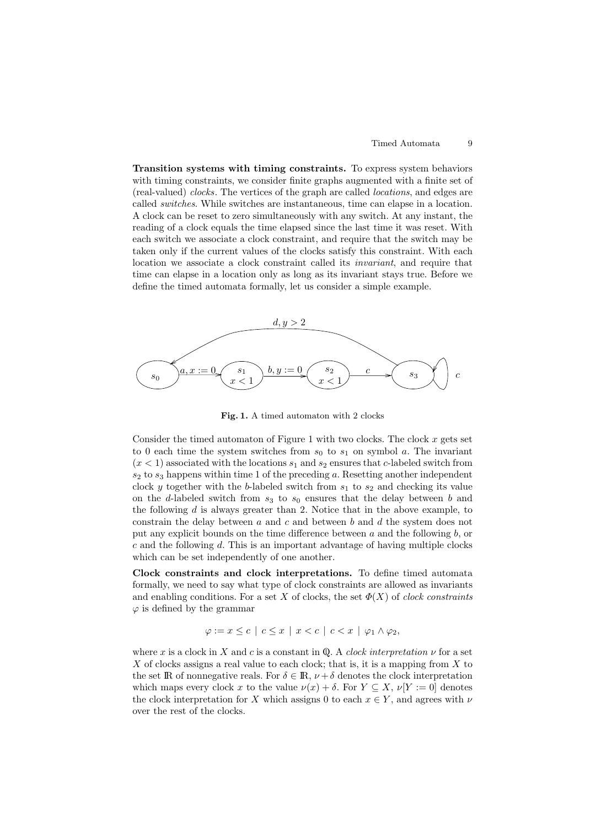**Transition systems with timing constraints.** To express system behaviors with timing constraints, we consider finite graphs augmented with a finite set of (real-valued) clocks. The vertices of the graph are called locations, and edges are called switches. While switches are instantaneous, time can elapse in a location. A clock can be reset to zero simultaneously with any switch. At any instant, the reading of a clock equals the time elapsed since the last time it was reset. With each switch we associate a clock constraint, and require that the switch may be taken only if the current values of the clocks satisfy this constraint. With each location we associate a clock constraint called its invariant, and require that time can elapse in a location only as long as its invariant stays true. Before we define the timed automata formally, let us consider a simple example.



**Fig. 1.** A timed automaton with 2 clocks

Consider the timed automaton of Figure 1 with two clocks. The clock  $x$  gets set to 0 each time the system switches from  $s_0$  to  $s_1$  on symbol a. The invariant  $(x < 1)$  associated with the locations  $s_1$  and  $s_2$  ensures that c-labeled switch from  $s_2$  to  $s_3$  happens within time 1 of the preceding a. Resetting another independent clock y together with the b-labeled switch from  $s_1$  to  $s_2$  and checking its value on the d-labeled switch from  $s_3$  to  $s_0$  ensures that the delay between b and the following  $d$  is always greater than 2. Notice that in the above example, to constrain the delay between a and c and between b and d the system does not put any explicit bounds on the time difference between a and the following b, or  $c$  and the following  $d$ . This is an important advantage of having multiple clocks which can be set independently of one another.

**Clock constraints and clock interpretations.** To define timed automata formally, we need to say what type of clock constraints are allowed as invariants and enabling conditions. For a set X of clocks, the set  $\Phi(X)$  of *clock constraints*  $\varphi$  is defined by the grammar

$$
\varphi := x \leq c \mid c \leq x \mid x < c \mid c < x \mid \varphi_1 \wedge \varphi_2,
$$

where x is a clock in X and c is a constant in Q. A clock interpretation  $\nu$  for a set X of clocks assigns a real value to each clock; that is, it is a mapping from  $X$  to the set IR of nonnegative reals. For  $\delta \in \mathbb{R}$ ,  $\nu + \delta$  denotes the clock interpretation which maps every clock x to the value  $\nu(x) + \delta$ . For  $Y \subseteq X$ ,  $\nu[Y := 0]$  denotes the clock interpretation for X which assigns 0 to each  $x \in Y$ , and agrees with  $\nu$ over the rest of the clocks.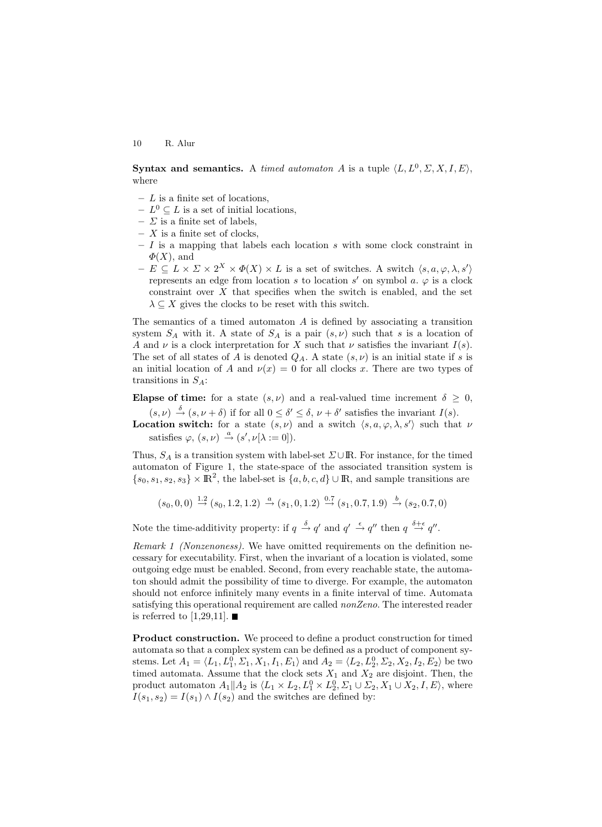**Syntax and semantics.** A timed automaton A is a tuple  $\langle L, L^0, \Sigma, X, I, E \rangle$ , where

- **–** L is a finite set of locations,
- $− L<sup>0</sup> ⊂ L$  is a set of initial locations,
- $\Sigma$  is a finite set of labels,
- **–** X is a finite set of clocks,
- **–** I is a mapping that labels each location s with some clock constraint in  $\Phi(X)$ , and
- $E \subseteq L \times \Sigma \times 2^X \times \Phi(X) \times L$  is a set of switches. A switch  $\langle s, a, \varphi, \lambda, s' \rangle$ represents an edge from location s to location s' on symbol a.  $\varphi$  is a clock constraint over  $X$  that specifies when the switch is enabled, and the set  $\lambda \subseteq X$  gives the clocks to be reset with this switch.

The semantics of a timed automaton  $A$  is defined by associating a transition system  $S_A$  with it. A state of  $S_A$  is a pair  $(s, \nu)$  such that s is a location of A and  $\nu$  is a clock interpretation for X such that  $\nu$  satisfies the invariant  $I(s)$ . The set of all states of A is denoted  $Q_A$ . A state  $(s, \nu)$  is an initial state if s is an initial location of A and  $\nu(x) = 0$  for all clocks x. There are two types of transitions in  $S_A$ :

**Elapse of time:** for a state  $(s, \nu)$  and a real-valued time increment  $\delta \geq 0$ ,  $(s, \nu) \stackrel{\delta}{\rightarrow} (s, \nu + \delta)$  if for all  $0 \leq \delta' \leq \delta$ ,  $\nu + \delta'$  satisfies the invariant  $I(s)$ .

**Location switch:** for a state  $(s, \nu)$  and a switch  $\langle s, a, \varphi, \lambda, s' \rangle$  such that  $\nu$ satisfies  $\varphi, (s, \nu) \stackrel{a}{\rightarrow} (s', \nu[\lambda := 0]).$ 

Thus,  $S_A$  is a transition system with label-set  $\Sigma \cup \mathbb{R}$ . For instance, for the timed automaton of Figure 1, the state-space of the associated transition system is  ${s_0, s_1, s_2, s_3} \times \mathbb{R}^2$ , the label-set is  ${a, b, c, d} \cup \mathbb{R}$ , and sample transitions are

$$
(s_0, 0, 0) \stackrel{1.2}{\rightarrow} (s_0, 1.2, 1.2) \stackrel{a}{\rightarrow} (s_1, 0, 1.2) \stackrel{0.7}{\rightarrow} (s_1, 0.7, 1.9) \stackrel{b}{\rightarrow} (s_2, 0.7, 0)
$$

Note the time-additivity property: if  $q \stackrel{\delta}{\rightarrow} q'$  and  $q' \stackrel{\epsilon}{\rightarrow} q''$  then  $q \stackrel{\delta+\epsilon}{\rightarrow} q''$ .

Remark 1 (Nonzenoness). We have omitted requirements on the definition necessary for executability. First, when the invariant of a location is violated, some outgoing edge must be enabled. Second, from every reachable state, the automaton should admit the possibility of time to diverge. For example, the automaton should not enforce infinitely many events in a finite interval of time. Automata satisfying this operational requirement are called *nonZeno*. The interested reader is referred to [1,29,11].  $\blacksquare$ 

**Product construction.** We proceed to define a product construction for timed automata so that a complex system can be defined as a product of component systems. Let  $A_1 = \langle L_1, L_1^0, \Sigma_1, X_1, I_1, E_1 \rangle$  and  $A_2 = \langle L_2, L_2^0, \Sigma_2, X_2, I_2, E_2 \rangle$  be two timed automata. Assume that the clock sets  $X_1$  and  $X_2$  are disjoint. Then, the product automaton  $A_1 || A_2$  is  $\langle L_1 \times L_2, L_1^0 \times L_2^0, \Sigma_1 \cup \Sigma_2, X_1 \cup X_2, I, E \rangle$ , where  $I(s_1, s_2) = I(s_1) \wedge I(s_2)$  and the switches are defined by: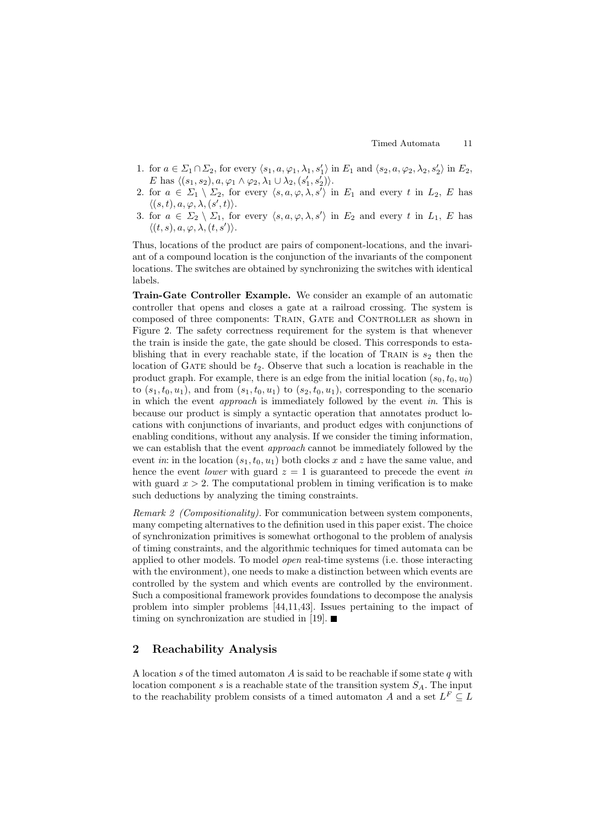- 1. for  $a \in \Sigma_1 \cap \Sigma_2$ , for every  $\langle s_1, a, \varphi_1, \lambda_1, s_1' \rangle$  in  $E_1$  and  $\langle s_2, a, \varphi_2, \lambda_2, s_2' \rangle$  in  $E_2$ , E has  $\langle (s_1, s_2), a, \varphi_1 \wedge \varphi_2, \lambda_1 \cup \lambda_2, (s_1', s_2') \rangle$ .
- 2. for  $a \in \Sigma_1 \setminus \Sigma_2$ , for every  $\langle s, a, \varphi, \lambda, s' \rangle$  in  $E_1$  and every t in  $L_2$ , E has  $\langle (s,t), a, \varphi, \lambda, (s',t) \rangle.$
- 3. for  $a \in \Sigma_2 \setminus \Sigma_1$ , for every  $\langle s, a, \varphi, \lambda, s' \rangle$  in  $E_2$  and every t in  $L_1$ , E has  $\langle (t, s), a, \varphi, \lambda, (t, s') \rangle.$

Thus, locations of the product are pairs of component-locations, and the invariant of a compound location is the conjunction of the invariants of the component locations. The switches are obtained by synchronizing the switches with identical labels.

**Train-Gate Controller Example.** We consider an example of an automatic controller that opens and closes a gate at a railroad crossing. The system is composed of three components: TRAIN, GATE and CONTROLLER as shown in Figure 2. The safety correctness requirement for the system is that whenever the train is inside the gate, the gate should be closed. This corresponds to establishing that in every reachable state, if the location of TRAIN is  $s_2$  then the location of GATE should be  $t_2$ . Observe that such a location is reachable in the product graph. For example, there is an edge from the initial location  $(s_0, t_0, u_0)$ to  $(s_1, t_0, u_1)$ , and from  $(s_1, t_0, u_1)$  to  $(s_2, t_0, u_1)$ , corresponding to the scenario in which the event approach is immediately followed by the event in. This is because our product is simply a syntactic operation that annotates product locations with conjunctions of invariants, and product edges with conjunctions of enabling conditions, without any analysis. If we consider the timing information, we can establish that the event approach cannot be immediately followed by the event in: in the location  $(s_1, t_0, u_1)$  both clocks x and z have the same value, and hence the event *lower* with guard  $z = 1$  is guaranteed to precede the event in with guard  $x > 2$ . The computational problem in timing verification is to make such deductions by analyzing the timing constraints.

Remark 2 (Compositionality). For communication between system components, many competing alternatives to the definition used in this paper exist. The choice of synchronization primitives is somewhat orthogonal to the problem of analysis of timing constraints, and the algorithmic techniques for timed automata can be applied to other models. To model open real-time systems (i.e. those interacting with the environment), one needs to make a distinction between which events are controlled by the system and which events are controlled by the environment. Such a compositional framework provides foundations to decompose the analysis problem into simpler problems [44,11,43]. Issues pertaining to the impact of timing on synchronization are studied in [19].  $\blacksquare$ 

#### **2 Reachability Analysis**

A location s of the timed automaton A is said to be reachable if some state q with location component s is a reachable state of the transition system  $S_A$ . The input to the reachability problem consists of a timed automaton  $A$  and a set  $L^F \subseteq L$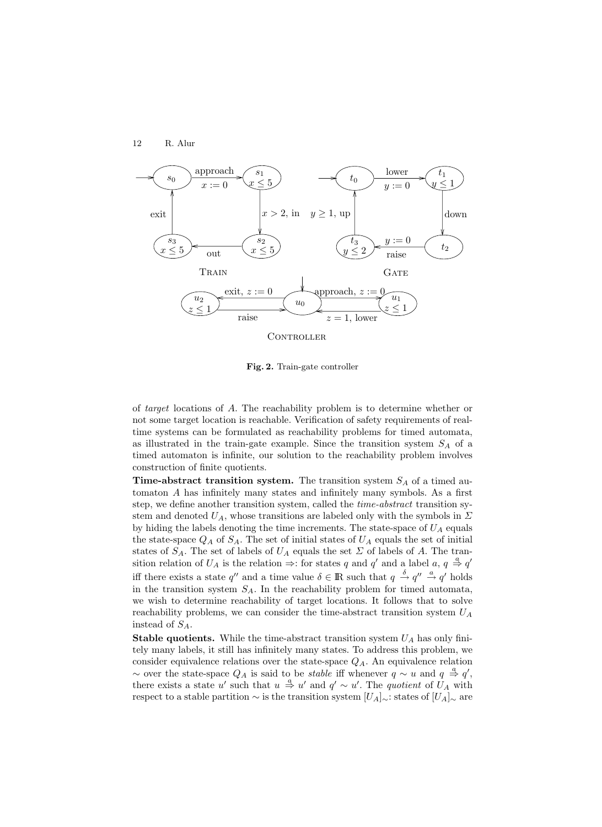

**Fig. 2.** Train-gate controller

of target locations of A. The reachability problem is to determine whether or not some target location is reachable. Verification of safety requirements of realtime systems can be formulated as reachability problems for timed automata, as illustrated in the train-gate example. Since the transition system  $S_A$  of a timed automaton is infinite, our solution to the reachability problem involves construction of finite quotients.

**Time-abstract transition system.** The transition system  $S_A$  of a timed automaton A has infinitely many states and infinitely many symbols. As a first step, we define another transition system, called the time-abstract transition system and denoted  $U_A$ , whose transitions are labeled only with the symbols in  $\Sigma$ by hiding the labels denoting the time increments. The state-space of  $U_A$  equals the state-space  $Q_A$  of  $S_A$ . The set of initial states of  $U_A$  equals the set of initial states of  $S_A$ . The set of labels of  $U_A$  equals the set  $\Sigma$  of labels of A. The transition relation of  $U_A$  is the relation  $\Rightarrow$ : for states q and q' and a label  $a, q \stackrel{a}{\Rightarrow} q'$ iff there exists a state q'' and a time value  $\delta \in \mathbb{R}$  such that  $q \stackrel{\delta}{\to} q'' \stackrel{a}{\to} q'$  holds in the transition system  $S_A$ . In the reachability problem for timed automata, we wish to determine reachability of target locations. It follows that to solve reachability problems, we can consider the time-abstract transition system  $U_A$ instead of  $S_A$ .

**Stable quotients.** While the time-abstract transition system  $U_A$  has only finitely many labels, it still has infinitely many states. To address this problem, we consider equivalence relations over the state-space  $Q_A$ . An equivalence relation ~ over the state-space  $Q_A$  is said to be *stable* iff whenever  $q \sim u$  and  $q \stackrel{a}{\Rightarrow} q'$ , there exists a state u' such that  $u \stackrel{a}{\Rightarrow} u'$  and  $q' \sim u'$ . The quotient of  $\hat{U}_A$  with respect to a stable partition  $\sim$  is the transition system  $[U_A]_{\sim}$ : states of  $[U_A]_{\sim}$  are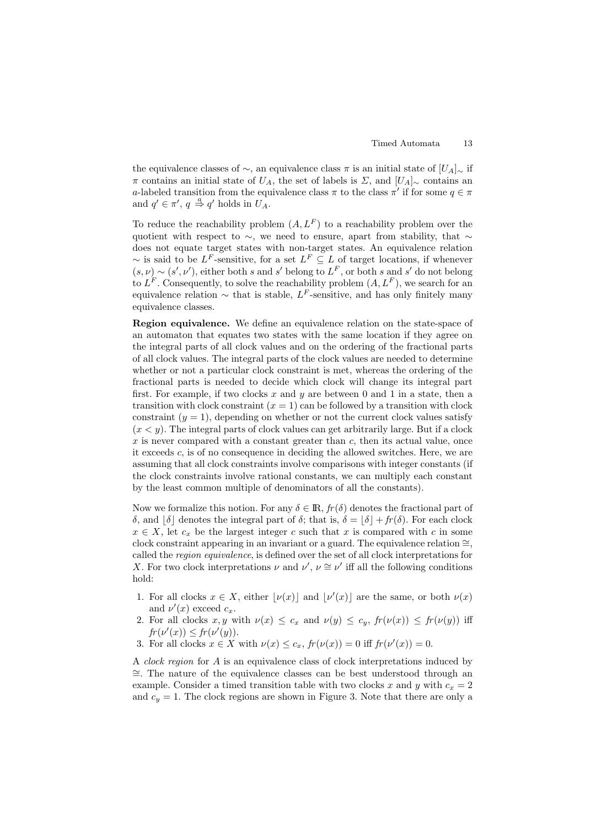the equivalence classes of  $\sim$ , an equivalence class π is an initial state of  $[U_A]_{\sim}$  if π contains an initial state of  $U_A$ , the set of labels is  $\Sigma$ , and  $[U_A]_{\sim}$  contains an a-labeled transition from the equivalence class  $\pi$  to the class  $\pi'$  if for some  $q \in \pi$ and  $q' \in \pi'$ ,  $q \stackrel{a}{\Rightarrow} q'$  holds in  $U_A$ .

To reduce the reachability problem  $(A, L^F)$  to a reachability problem over the quotient with respect to ∼, we need to ensure, apart from stability, that ∼ does not equate target states with non-target states. An equivalence relation  $\sim$  is said to be L<sup>F</sup>-sensitive, for a set  $L^F \subseteq L$  of target locations, if whenever  $(s, \nu) \sim (s', \nu')$ , either both s and s' belong to  $L^F$ , or both s and s' do not belong to  $L^F$ . Consequently, to solve the reachability problem  $(A, L^F)$ , we search for an equivalence relation  $\sim$  that is stable, L<sup>F</sup>-sensitive, and has only finitely many equivalence classes.

**Region equivalence.** We define an equivalence relation on the state-space of an automaton that equates two states with the same location if they agree on the integral parts of all clock values and on the ordering of the fractional parts of all clock values. The integral parts of the clock values are needed to determine whether or not a particular clock constraint is met, whereas the ordering of the fractional parts is needed to decide which clock will change its integral part first. For example, if two clocks  $x$  and  $y$  are between 0 and 1 in a state, then a transition with clock constraint  $(x = 1)$  can be followed by a transition with clock constraint  $(y = 1)$ , depending on whether or not the current clock values satisfy  $(x < y)$ . The integral parts of clock values can get arbitrarily large. But if a clock  $x$  is never compared with a constant greater than  $c$ , then its actual value, once it exceeds c, is of no consequence in deciding the allowed switches. Here, we are assuming that all clock constraints involve comparisons with integer constants (if the clock constraints involve rational constants, we can multiply each constant by the least common multiple of denominators of all the constants).

Now we formalize this notion. For any  $\delta \in \mathbb{R}$ ,  $f(r(\delta))$  denotes the fractional part of δ, and  $\delta$  denotes the integral part of δ; that is,  $\delta = \delta + fr(\delta)$ . For each clock  $x \in X$ , let  $c_x$  be the largest integer c such that x is compared with c in some clock constraint appearing in an invariant or a guard. The equivalence relation  $\cong$ , called the region equivalence, is defined over the set of all clock interpretations for X. For two clock interpretations  $\nu$  and  $\nu'$ ,  $\nu \cong \nu'$  iff all the following conditions hold:

- 1. For all clocks  $x \in X$ , either  $\lfloor \nu(x) \rfloor$  and  $\lfloor \nu'(x) \rfloor$  are the same, or both  $\nu(x)$ and  $\nu'(x)$  exceed  $c_x$ .
- 2. For all clocks x, y with  $\nu(x) \leq c_x$  and  $\nu(y) \leq c_y$ ,  $fr(\nu(x)) \leq fr(\nu(y))$  iff  $fr(\nu'(x)) \leq fr(\nu'(y)).$
- 3. For all clocks  $x \in X$  with  $\nu(x) \leq c_x$ ,  $fr(\nu(x)) = 0$  iff  $fr(\nu'(x)) = 0$ .

A *clock region* for A is an equivalence class of clock interpretations induced by  $\cong$ . The nature of the equivalence classes can be best understood through an example. Consider a timed transition table with two clocks x and y with  $c_x = 2$ and  $c_y = 1$ . The clock regions are shown in Figure 3. Note that there are only a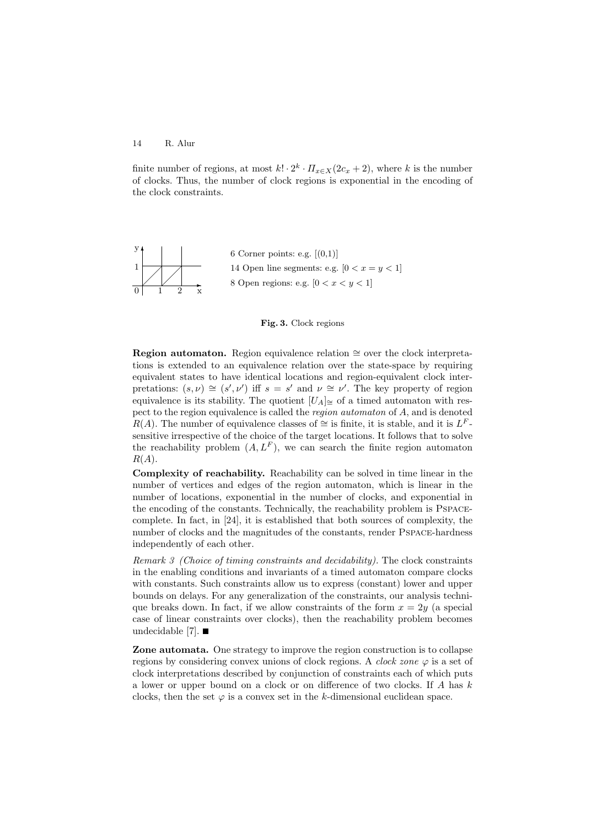finite number of regions, at most  $k! \cdot 2^k \cdot \prod_{x \in X} (2c_x + 2)$ , where k is the number of clocks. Thus, the number of clock regions is exponential in the encoding of the clock constraints.



6 Corner points: e.g.  $[(0,1)]$ 14 Open line segments: e.g.  $[0 < x = y < 1]$ 8 Open regions: e.g.  $[0 < x < y < 1]$ 



**Region automaton.** Region equivalence relation  $\cong$  over the clock interpretations is extended to an equivalence relation over the state-space by requiring equivalent states to have identical locations and region-equivalent clock interpretations:  $(s, \nu) \cong (s', \nu')$  iff  $s = s'$  and  $\nu \cong \nu'$ . The key property of region equivalence is its stability. The quotient  $[U_A]_{\cong}$  of a timed automaton with respect to the region equivalence is called the region automaton of A, and is denoted  $R(A)$ . The number of equivalence classes of ≅ is finite, it is stable, and it is  $L^F$ sensitive irrespective of the choice of the target locations. It follows that to solve the reachability problem  $(A, L<sup>F</sup>)$ , we can search the finite region automaton  $R(A).$ 

**Complexity of reachability.** Reachability can be solved in time linear in the number of vertices and edges of the region automaton, which is linear in the number of locations, exponential in the number of clocks, and exponential in the encoding of the constants. Technically, the reachability problem is Pspacecomplete. In fact, in [24], it is established that both sources of complexity, the number of clocks and the magnitudes of the constants, render Pspace-hardness independently of each other.

Remark 3 (Choice of timing constraints and decidability). The clock constraints in the enabling conditions and invariants of a timed automaton compare clocks with constants. Such constraints allow us to express (constant) lower and upper bounds on delays. For any generalization of the constraints, our analysis technique breaks down. In fact, if we allow constraints of the form  $x = 2y$  (a special case of linear constraints over clocks), then the reachability problem becomes undecidable [7].  $\blacksquare$ 

**Zone automata.** One strategy to improve the region construction is to collapse regions by considering convex unions of clock regions. A *clock zone*  $\varphi$  is a set of clock interpretations described by conjunction of constraints each of which puts a lower or upper bound on a clock or on difference of two clocks. If A has k clocks, then the set  $\varphi$  is a convex set in the k-dimensional euclidean space.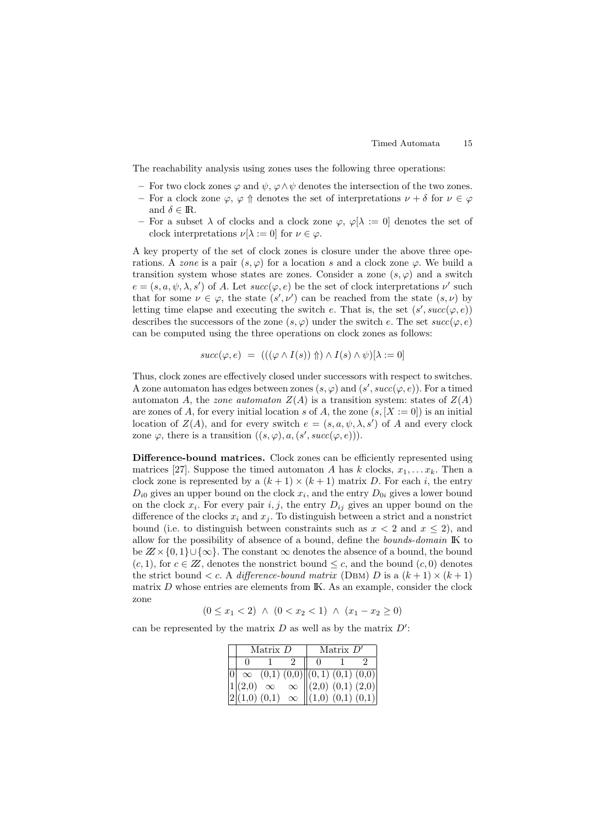The reachability analysis using zones uses the following three operations:

- **–** For two clock zones ϕ and ψ, ϕ∧ψ denotes the intersection of the two zones.
- **–** For a clock zone  $\varphi$ ,  $\varphi$  ↑ denotes the set of interpretations  $\nu + \delta$  for  $\nu \in \varphi$ and  $\delta \in \mathbb{R}$ .
- For a subset  $\lambda$  of clocks and a clock zone  $\varphi$ ,  $\varphi[\lambda := 0]$  denotes the set of clock interpretations  $\nu[\lambda := 0]$  for  $\nu \in \varphi$ .

A key property of the set of clock zones is closure under the above three operations. A zone is a pair  $(s, \varphi)$  for a location s and a clock zone  $\varphi$ . We build a transition system whose states are zones. Consider a zone  $(s, \varphi)$  and a switch  $e = (s, a, \psi, \lambda, s')$  of A. Let  $succ(\varphi, e)$  be the set of clock interpretations  $\nu'$  such that for some  $\nu \in \varphi$ , the state  $(s', \nu')$  can be reached from the state  $(s, \nu)$  by letting time elapse and executing the switch e. That is, the set  $(s', succ(\varphi, e))$ describes the successors of the zone  $(s, \varphi)$  under the switch e. The set  $succ(\varphi, e)$ can be computed using the three operations on clock zones as follows:

$$
succ(\varphi, e) = (((\varphi \wedge I(s)) \Uparrow) \wedge I(s) \wedge \psi)[\lambda := 0]
$$

Thus, clock zones are effectively closed under successors with respect to switches. A zone automaton has edges between zones  $(s, \varphi)$  and  $(s', succ(\varphi, e))$ . For a timed automaton A, the zone automaton  $Z(A)$  is a transition system: states of  $Z(A)$ are zones of A, for every initial location s of A, the zone  $(s, [X := 0])$  is an initial location of  $Z(A)$ , and for every switch  $e = (s, a, \psi, \lambda, s')$  of A and every clock zone  $\varphi$ , there is a transition  $((s, \varphi), a, (s', succ(\varphi, e))).$ 

**Difference-bound matrices.** Clock zones can be efficiently represented using matrices [27]. Suppose the timed automaton A has k clocks,  $x_1, \ldots, x_k$ . Then a clock zone is represented by a  $(k+1) \times (k+1)$  matrix D. For each i, the entry  $D_{i0}$  gives an upper bound on the clock  $x_i$ , and the entry  $D_{0i}$  gives a lower bound on the clock  $x_i$ . For every pair i, j, the entry  $D_{ij}$  gives an upper bound on the difference of the clocks  $x_i$  and  $x_j$ . To distinguish between a strict and a nonstrict bound (i.e. to distinguish between constraints such as  $x < 2$  and  $x \le 2$ ), and allow for the possibility of absence of a bound, define the bounds-domain IK to be  $Z \times \{0,1\} \cup \{\infty\}$ . The constant  $\infty$  denotes the absence of a bound, the bound  $(c, 1)$ , for  $c \in \mathbb{Z}$ , denotes the nonstrict bound  $\leq c$ , and the bound  $(c, 0)$  denotes the strict bound  $\langle c, A \text{ difference-bound matrix (DBM) } D \text{ is a } (k+1) \times (k+1)$ matrix  $D$  whose entries are elements from  $\mathbb{K}$ . As an example, consider the clock zone

 $(0 \le x_1 < 2) \land (0 < x_2 < 1) \land (x_1 - x_2 \ge 0)$ 

can be represented by the matrix  $D$  as well as by the matrix  $D'$ :

| Matrix $D$ |  |  | Matrix $D'$                                                                                                                                                                                                       |  |  |
|------------|--|--|-------------------------------------------------------------------------------------------------------------------------------------------------------------------------------------------------------------------|--|--|
|            |  |  |                                                                                                                                                                                                                   |  |  |
|            |  |  |                                                                                                                                                                                                                   |  |  |
|            |  |  |                                                                                                                                                                                                                   |  |  |
|            |  |  | $\begin{array}{ l } \hline 0 & \infty & (0,1) & (0,0) & (0,1) & (0,1) & (0,0) \\ 1 & (2,0) & \infty & \infty & (2,0) & (0,1) & (2,0) \\ 2 & (1,0) & (0,1) & \infty & (1,0) & (0,1) & (0,1) \\ \hline \end{array}$ |  |  |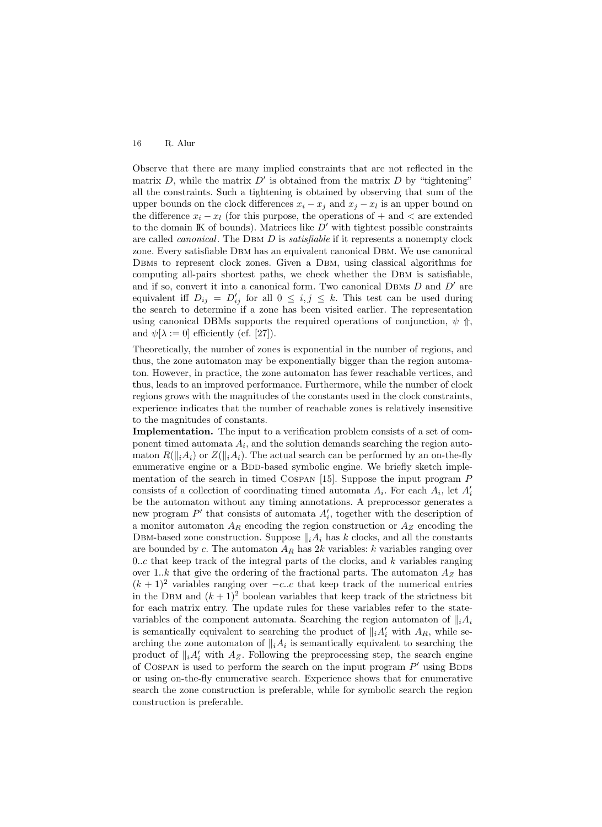Observe that there are many implied constraints that are not reflected in the matrix D, while the matrix  $D'$  is obtained from the matrix D by "tightening" all the constraints. Such a tightening is obtained by observing that sum of the upper bounds on the clock differences  $x_i - x_j$  and  $x_j - x_l$  is an upper bound on the difference  $x_i - x_l$  (for this purpose, the operations of + and < are extended to the domain IK of bounds). Matrices like  $D'$  with tightest possible constraints are called *canonical*. The DBM D is *satisfiable* if it represents a nonempty clock zone. Every satisfiable Dbm has an equivalent canonical Dbm. We use canonical DBMs to represent clock zones. Given a DBM, using classical algorithms for computing all-pairs shortest paths, we check whether the Dbm is satisfiable, and if so, convert it into a canonical form. Two canonical DBMs  $D$  and  $D'$  are equivalent iff  $D_{ij} = D'_{ij}$  for all  $0 \leq i, j \leq k$ . This test can be used during the search to determine if a zone has been visited earlier. The representation using canonical DBMs supports the required operations of conjunction,  $\psi$  ↑, and  $\psi[\lambda := 0]$  efficiently (cf. [27]).

Theoretically, the number of zones is exponential in the number of regions, and thus, the zone automaton may be exponentially bigger than the region automaton. However, in practice, the zone automaton has fewer reachable vertices, and thus, leads to an improved performance. Furthermore, while the number of clock regions grows with the magnitudes of the constants used in the clock constraints, experience indicates that the number of reachable zones is relatively insensitive to the magnitudes of constants.

**Implementation.** The input to a verification problem consists of a set of component timed automata  $A_i$ , and the solution demands searching the region automaton  $R(\Vert_i A_i)$  or  $Z(\Vert_i A_i)$ . The actual search can be performed by an on-the-fly enumerative engine or a BDD-based symbolic engine. We briefly sketch implementation of the search in timed COSPAN [15]. Suppose the input program  $P$ consists of a collection of coordinating timed automata  $A_i$ . For each  $A_i$ , let  $A_i'$ be the automaton without any timing annotations. A preprocessor generates a new program  $P'$  that consists of automata  $A'_i$ , together with the description of a monitor automaton  $A_R$  encoding the region construction or  $A_Z$  encoding the DBM-based zone construction. Suppose  $||_iA_i$  has k clocks, and all the constants are bounded by c. The automaton  $A_R$  has 2k variables: k variables ranging over 0..c that keep track of the integral parts of the clocks, and  $k$  variables ranging over 1..k that give the ordering of the fractional parts. The automaton  $A_Z$  has  $(k + 1)^2$  variables ranging over  $-c.c$  that keep track of the numerical entries in the DBM and  $(k+1)^2$  boolean variables that keep track of the strictness bit for each matrix entry. The update rules for these variables refer to the statevariables of the component automata. Searching the region automaton of  $||_iA_i$ is semantically equivalent to searching the product of  $||_i A'_i$  with  $A_R$ , while searching the zone automaton of  $||_iA_i$  is semantically equivalent to searching the product of  $||_i A'_i$  with  $A_Z$ . Following the preprocessing step, the search engine of COSPAN is used to perform the search on the input program  $P'$  using BDDs or using on-the-fly enumerative search. Experience shows that for enumerative search the zone construction is preferable, while for symbolic search the region construction is preferable.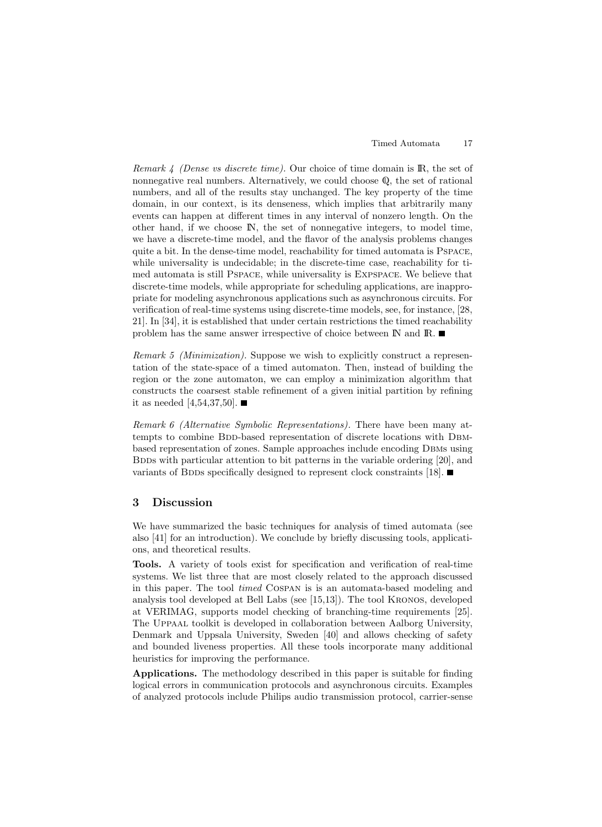Remark  $\frac{1}{4}$  (Dense vs discrete time). Our choice of time domain is IR, the set of nonnegative real numbers. Alternatively, we could choose Q, the set of rational numbers, and all of the results stay unchanged. The key property of the time domain, in our context, is its denseness, which implies that arbitrarily many events can happen at different times in any interval of nonzero length. On the other hand, if we choose IN, the set of nonnegative integers, to model time, we have a discrete-time model, and the flavor of the analysis problems changes quite a bit. In the dense-time model, reachability for timed automata is Pspace, while universality is undecidable; in the discrete-time case, reachability for timed automata is still Pspace, while universality is Expspace. We believe that discrete-time models, while appropriate for scheduling applications, are inappropriate for modeling asynchronous applications such as asynchronous circuits. For verification of real-time systems using discrete-time models, see, for instance, [28, 21]. In [34], it is established that under certain restrictions the timed reachability problem has the same answer irrespective of choice between  $\mathbb N$  and  $\mathbb R$ .

Remark 5 (Minimization). Suppose we wish to explicitly construct a representation of the state-space of a timed automaton. Then, instead of building the region or the zone automaton, we can employ a minimization algorithm that constructs the coarsest stable refinement of a given initial partition by refining it as needed [4,54,37,50].  $\blacksquare$ 

Remark 6 (Alternative Symbolic Representations). There have been many attempts to combine BDD-based representation of discrete locations with DBMbased representation of zones. Sample approaches include encoding Dbms using BDDs with particular attention to bit patterns in the variable ordering [20], and variants of BDDs specifically designed to represent clock constraints [18].  $\blacksquare$ 

## **3 Discussion**

We have summarized the basic techniques for analysis of timed automata (see also [41] for an introduction). We conclude by briefly discussing tools, applications, and theoretical results.

**Tools.** A variety of tools exist for specification and verification of real-time systems. We list three that are most closely related to the approach discussed in this paper. The tool timed Cospan is is an automata-based modeling and analysis tool developed at Bell Labs (see [15,13]). The tool Kronos, developed at VERIMAG, supports model checking of branching-time requirements [25]. The Uppaal toolkit is developed in collaboration between Aalborg University, Denmark and Uppsala University, Sweden [40] and allows checking of safety and bounded liveness properties. All these tools incorporate many additional heuristics for improving the performance.

**Applications.** The methodology described in this paper is suitable for finding logical errors in communication protocols and asynchronous circuits. Examples of analyzed protocols include Philips audio transmission protocol, carrier-sense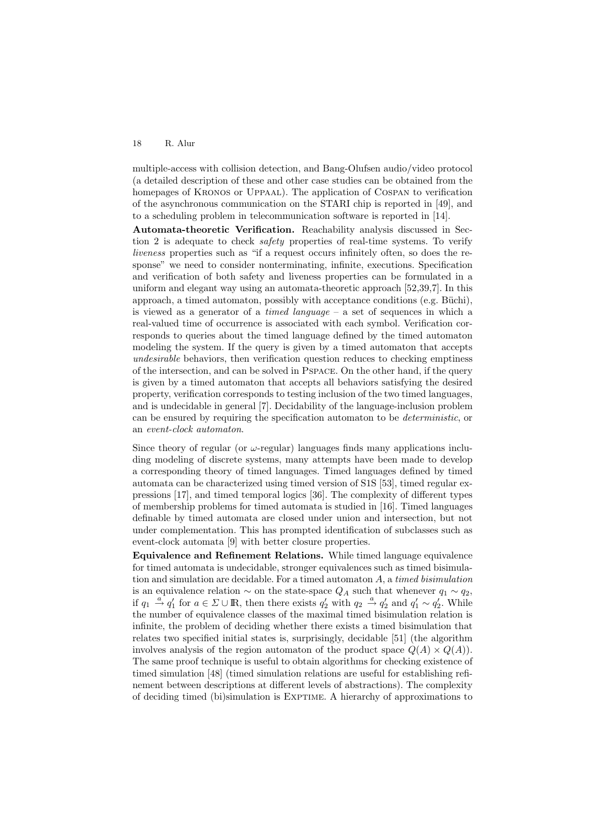multiple-access with collision detection, and Bang-Olufsen audio/video protocol (a detailed description of these and other case studies can be obtained from the homepages of Kronos or Uppaal). The application of Cospan to verification of the asynchronous communication on the STARI chip is reported in [49], and to a scheduling problem in telecommunication software is reported in [14].

**Automata-theoretic Verification.** Reachability analysis discussed in Section 2 is adequate to check safety properties of real-time systems. To verify liveness properties such as "if a request occurs infinitely often, so does the response" we need to consider nonterminating, infinite, executions. Specification and verification of both safety and liveness properties can be formulated in a uniform and elegant way using an automata-theoretic approach [52,39,7]. In this approach, a timed automaton, possibly with acceptance conditions (e.g. Büchi), is viewed as a generator of a *timed language*  $-$  a set of sequences in which a real-valued time of occurrence is associated with each symbol. Verification corresponds to queries about the timed language defined by the timed automaton modeling the system. If the query is given by a timed automaton that accepts undesirable behaviors, then verification question reduces to checking emptiness of the intersection, and can be solved in Pspace. On the other hand, if the query is given by a timed automaton that accepts all behaviors satisfying the desired property, verification corresponds to testing inclusion of the two timed languages, and is undecidable in general [7]. Decidability of the language-inclusion problem can be ensured by requiring the specification automaton to be deterministic, or an event-clock automaton.

Since theory of regular (or  $\omega$ -regular) languages finds many applications including modeling of discrete systems, many attempts have been made to develop a corresponding theory of timed languages. Timed languages defined by timed automata can be characterized using timed version of S1S [53], timed regular expressions [17], and timed temporal logics [36]. The complexity of different types of membership problems for timed automata is studied in [16]. Timed languages definable by timed automata are closed under union and intersection, but not under complementation. This has prompted identification of subclasses such as event-clock automata [9] with better closure properties.

**Equivalence and Refinement Relations.** While timed language equivalence for timed automata is undecidable, stronger equivalences such as timed bisimulation and simulation are decidable. For a timed automaton A, a timed bisimulation is an equivalence relation  $\sim$  on the state-space  $Q_A$  such that whenever  $q_1 \sim q_2$ , if  $q_1 \stackrel{a}{\rightarrow} q'_1$  for  $a \in \Sigma \cup \mathbb{R}$ , then there exists  $q'_2$  with  $q_2 \stackrel{a}{\rightarrow} q'_2$  and  $q'_1 \sim q'_2$ . While the number of equivalence classes of the maximal timed bisimulation relation is infinite, the problem of deciding whether there exists a timed bisimulation that relates two specified initial states is, surprisingly, decidable [51] (the algorithm involves analysis of the region automaton of the product space  $Q(A) \times Q(A)$ . The same proof technique is useful to obtain algorithms for checking existence of timed simulation [48] (timed simulation relations are useful for establishing refinement between descriptions at different levels of abstractions). The complexity of deciding timed (bi)simulation is Exptime. A hierarchy of approximations to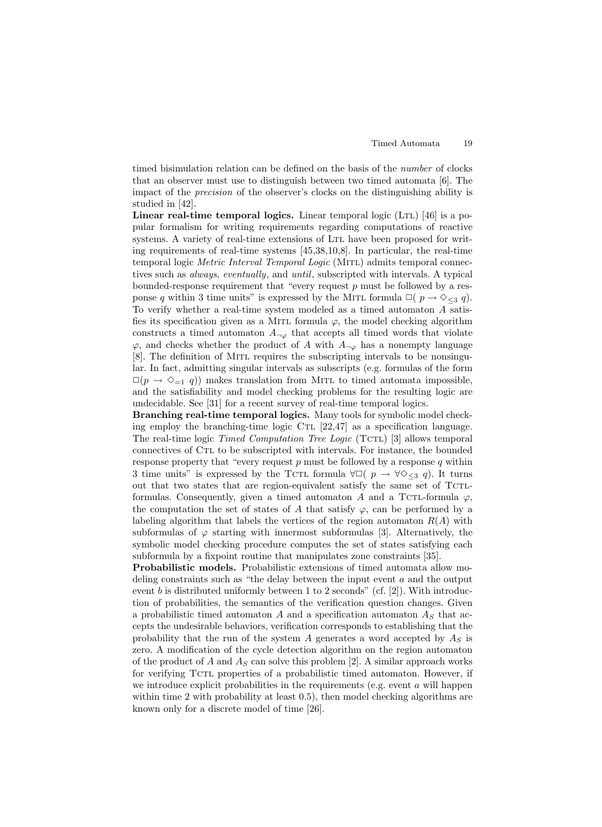timed bisimulation relation can be defined on the basis of the number of clocks that an observer must use to distinguish between two timed automata [6]. The impact of the precision of the observer's clocks on the distinguishing ability is studied in [42].

**Linear real-time temporal logics.** Linear temporal logic (LTL) [46] is a popular formalism for writing requirements regarding computations of reactive systems. A variety of real-time extensions of Ltl have been proposed for writing requirements of real-time systems [45,38,10,8]. In particular, the real-time temporal logic *Metric Interval Temporal Logic* (MITL) admits temporal connectives such as always, eventually, and until, subscripted with intervals. A typical bounded-response requirement that "every request  $p$  must be followed by a response q within 3 time units" is expressed by the MITL formula  $\Box(p \rightarrow \Diamond_{\leq 3} q)$ . To verify whether a real-time system modeled as a timed automaton A satisfies its specification given as a MITL formula  $\varphi$ , the model checking algorithm constructs a timed automaton  $A_{\neg \varphi}$  that accepts all timed words that violate  $\varphi$ , and checks whether the product of A with  $A_{\neg \varphi}$  has a nonempty language [8]. The definition of Mitl requires the subscripting intervals to be nonsingular. In fact, admitting singular intervals as subscripts (e.g. formulas of the form  $\Box(p \rightarrow \Diamond_{=1} q)$  makes translation from MITL to timed automata impossible, and the satisfiability and model checking problems for the resulting logic are undecidable. See [31] for a recent survey of real-time temporal logics.

**Branching real-time temporal logics.** Many tools for symbolic model checking employ the branching-time logic CTL  $[22,47]$  as a specification language. The real-time logic *Timed Computation Tree Logic* (TCTL) [3] allows temporal connectives of Ctl to be subscripted with intervals. For instance, the bounded response property that "every request  $p$  must be followed by a response  $q$  within 3 time units" is expressed by the TCTL formula  $\forall \Box$ (  $p \rightarrow \forall \Diamond_{\leq 3} q$ ). It turns out that two states that are region-equivalent satisfy the same set of TCTLformulas. Consequently, given a timed automaton A and a TCTL-formula  $\varphi$ , the computation the set of states of A that satisfy  $\varphi$ , can be performed by a labeling algorithm that labels the vertices of the region automaton  $R(A)$  with subformulas of  $\varphi$  starting with innermost subformulas [3]. Alternatively, the symbolic model checking procedure computes the set of states satisfying each subformula by a fixpoint routine that manipulates zone constraints [35].

**Probabilistic models.** Probabilistic extensions of timed automata allow modeling constraints such as "the delay between the input event a and the output event b is distributed uniformly between 1 to 2 seconds" (cf. [2]). With introduction of probabilities, the semantics of the verification question changes. Given a probabilistic timed automaton A and a specification automaton  $A<sub>S</sub>$  that accepts the undesirable behaviors, verification corresponds to establishing that the probability that the run of the system A generates a word accepted by  $A<sub>S</sub>$  is zero. A modification of the cycle detection algorithm on the region automaton of the product of A and  $A<sub>S</sub>$  can solve this problem [2]. A similar approach works for verifying Tctl properties of a probabilistic timed automaton. However, if we introduce explicit probabilities in the requirements (e.g. event  $\alpha$  will happen within time 2 with probability at least 0.5), then model checking algorithms are known only for a discrete model of time [26].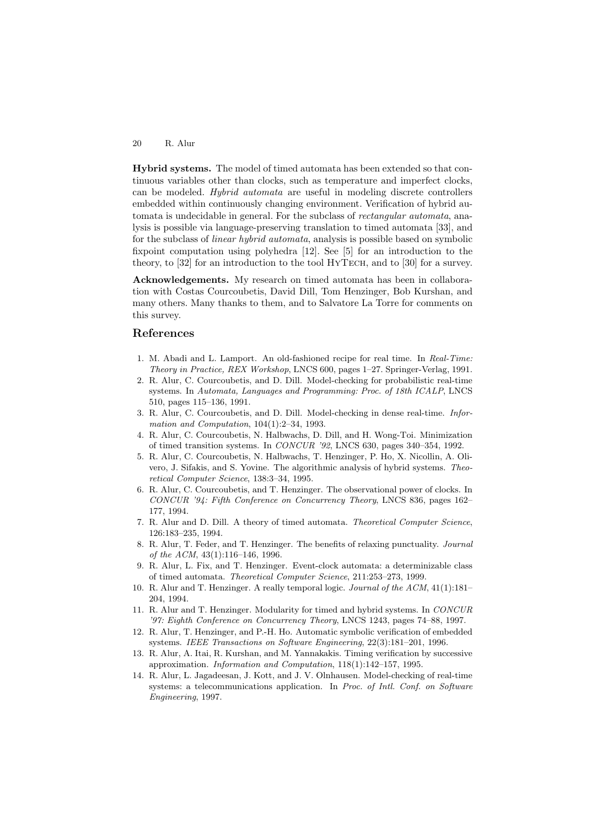**Hybrid systems.** The model of timed automata has been extended so that continuous variables other than clocks, such as temperature and imperfect clocks, can be modeled. Hybrid automata are useful in modeling discrete controllers embedded within continuously changing environment. Verification of hybrid automata is undecidable in general. For the subclass of rectangular automata, analysis is possible via language-preserving translation to timed automata [33], and for the subclass of linear hybrid automata, analysis is possible based on symbolic fixpoint computation using polyhedra [12]. See [5] for an introduction to the theory, to [32] for an introduction to the tool HyTech, and to [30] for a survey.

**Acknowledgements.** My research on timed automata has been in collaboration with Costas Courcoubetis, David Dill, Tom Henzinger, Bob Kurshan, and many others. Many thanks to them, and to Salvatore La Torre for comments on this survey.

### **References**

- 1. M. Abadi and L. Lamport. An old-fashioned recipe for real time. In Real-Time: Theory in Practice, REX Workshop, LNCS 600, pages 1–27. Springer-Verlag, 1991.
- 2. R. Alur, C. Courcoubetis, and D. Dill. Model-checking for probabilistic real-time systems. In Automata, Languages and Programming: Proc. of 18th ICALP, LNCS 510, pages 115–136, 1991.
- 3. R. Alur, C. Courcoubetis, and D. Dill. Model-checking in dense real-time. Information and Computation, 104(1):2–34, 1993.
- 4. R. Alur, C. Courcoubetis, N. Halbwachs, D. Dill, and H. Wong-Toi. Minimization of timed transition systems. In CONCUR '92, LNCS 630, pages 340–354, 1992.
- 5. R. Alur, C. Courcoubetis, N. Halbwachs, T. Henzinger, P. Ho, X. Nicollin, A. Olivero, J. Sifakis, and S. Yovine. The algorithmic analysis of hybrid systems. Theoretical Computer Science, 138:3–34, 1995.
- 6. R. Alur, C. Courcoubetis, and T. Henzinger. The observational power of clocks. In CONCUR '94: Fifth Conference on Concurrency Theory, LNCS 836, pages 162– 177, 1994.
- 7. R. Alur and D. Dill. A theory of timed automata. Theoretical Computer Science, 126:183–235, 1994.
- 8. R. Alur, T. Feder, and T. Henzinger. The benefits of relaxing punctuality. Journal of the ACM, 43(1):116–146, 1996.
- 9. R. Alur, L. Fix, and T. Henzinger. Event-clock automata: a determinizable class of timed automata. Theoretical Computer Science, 211:253–273, 1999.
- 10. R. Alur and T. Henzinger. A really temporal logic. Journal of the ACM, 41(1):181– 204, 1994.
- 11. R. Alur and T. Henzinger. Modularity for timed and hybrid systems. In CONCUR '97: Eighth Conference on Concurrency Theory, LNCS 1243, pages 74–88, 1997.
- 12. R. Alur, T. Henzinger, and P.-H. Ho. Automatic symbolic verification of embedded systems. IEEE Transactions on Software Engineering, 22(3):181–201, 1996.
- 13. R. Alur, A. Itai, R. Kurshan, and M. Yannakakis. Timing verification by successive approximation. Information and Computation, 118(1):142–157, 1995.
- 14. R. Alur, L. Jagadeesan, J. Kott, and J. V. Olnhausen. Model-checking of real-time systems: a telecommunications application. In Proc. of Intl. Conf. on Software Engineering, 1997.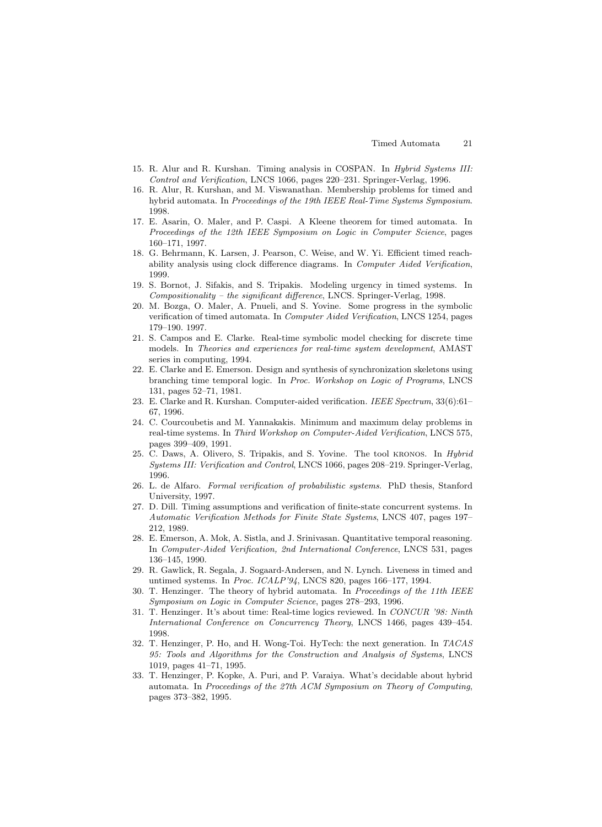- 15. R. Alur and R. Kurshan. Timing analysis in COSPAN. In *Hybrid Systems III:* Control and Verification, LNCS 1066, pages 220–231. Springer-Verlag, 1996.
- 16. R. Alur, R. Kurshan, and M. Viswanathan. Membership problems for timed and hybrid automata. In Proceedings of the 19th IEEE Real-Time Systems Symposium. 1998.
- 17. E. Asarin, O. Maler, and P. Caspi. A Kleene theorem for timed automata. In Proceedings of the 12th IEEE Symposium on Logic in Computer Science, pages 160–171, 1997.
- 18. G. Behrmann, K. Larsen, J. Pearson, C. Weise, and W. Yi. Efficient timed reachability analysis using clock difference diagrams. In Computer Aided Verification, 1999.
- 19. S. Bornot, J. Sifakis, and S. Tripakis. Modeling urgency in timed systems. In  $Compositionality - the significant difference, LNCS. Springer-Verlag, 1998.$
- 20. M. Bozga, O. Maler, A. Pnueli, and S. Yovine. Some progress in the symbolic verification of timed automata. In Computer Aided Verification, LNCS 1254, pages 179–190. 1997.
- 21. S. Campos and E. Clarke. Real-time symbolic model checking for discrete time models. In Theories and experiences for real-time system development, AMAST series in computing, 1994.
- 22. E. Clarke and E. Emerson. Design and synthesis of synchronization skeletons using branching time temporal logic. In Proc. Workshop on Logic of Programs, LNCS 131, pages 52–71, 1981.
- 23. E. Clarke and R. Kurshan. Computer-aided verification. IEEE Spectrum, 33(6):61– 67, 1996.
- 24. C. Courcoubetis and M. Yannakakis. Minimum and maximum delay problems in real-time systems. In Third Workshop on Computer-Aided Verification, LNCS 575, pages 399–409, 1991.
- 25. C. Daws, A. Olivero, S. Tripakis, and S. Yovine. The tool kronos. In Hybrid Systems III: Verification and Control, LNCS 1066, pages 208–219. Springer-Verlag, 1996.
- 26. L. de Alfaro. Formal verification of probabilistic systems. PhD thesis, Stanford University, 1997.
- 27. D. Dill. Timing assumptions and verification of finite-state concurrent systems. In Automatic Verification Methods for Finite State Systems, LNCS 407, pages 197– 212, 1989.
- 28. E. Emerson, A. Mok, A. Sistla, and J. Srinivasan. Quantitative temporal reasoning. In Computer-Aided Verification, 2nd International Conference, LNCS 531, pages 136–145, 1990.
- 29. R. Gawlick, R. Segala, J. Sogaard-Andersen, and N. Lynch. Liveness in timed and untimed systems. In Proc. ICALP'94, LNCS 820, pages 166–177, 1994.
- 30. T. Henzinger. The theory of hybrid automata. In Proceedings of the 11th IEEE Symposium on Logic in Computer Science, pages 278–293, 1996.
- 31. T. Henzinger. It's about time: Real-time logics reviewed. In CONCUR '98: Ninth International Conference on Concurrency Theory, LNCS 1466, pages 439–454. 1998.
- 32. T. Henzinger, P. Ho, and H. Wong-Toi. HyTech: the next generation. In TACAS 95: Tools and Algorithms for the Construction and Analysis of Systems, LNCS 1019, pages 41–71, 1995.
- 33. T. Henzinger, P. Kopke, A. Puri, and P. Varaiya. What's decidable about hybrid automata. In Proceedings of the 27th ACM Symposium on Theory of Computing, pages 373–382, 1995.